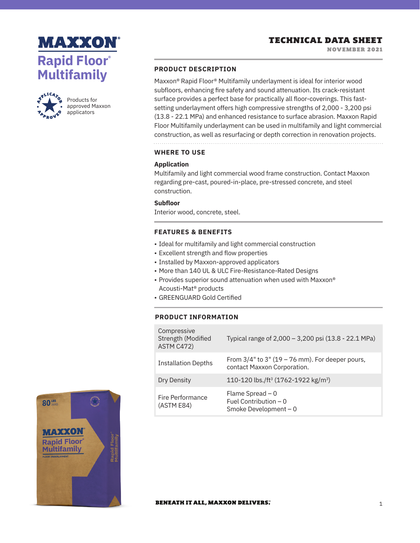



Products for approved Maxxon applicators

#### **PRODUCT DESCRIPTION**

Maxxon® Rapid Floor® Multifamily underlayment is ideal for interior wood subfloors, enhancing fire safety and sound attenuation. Its crack-resistant surface provides a perfect base for practically all floor-coverings. This fastsetting underlayment offers high compressive strengths of 2,000 - 3,200 psi (13.8 - 22.1 MPa) and enhanced resistance to surface abrasion. Maxxon Rapid Floor Multifamily underlayment can be used in multifamily and light commercial construction, as well as resurfacing or depth correction in renovation projects.

## **WHERE TO USE**

#### **Application**

Multifamily and light commercial wood frame construction. Contact Maxxon regarding pre-cast, poured-in-place, pre-stressed concrete, and steel construction.

# **Subfloor**

Interior wood, concrete, steel.

### **FEATURES & BENEFITS**

- Ideal for multifamily and light commercial construction
- Excellent strength and flow properties
- Installed by Maxxon-approved applicators
- More than 140 UL & ULC Fire-Resistance-Rated Designs
- Provides superior sound attenuation when used with Maxxon® Acousti-Mat® products
- GREENGUARD Gold Certified

## **PRODUCT INFORMATION**

| Compressive<br>Strength (Modified<br>ASTM C472) | Typical range of 2,000 - 3,200 psi (13.8 - 22.1 MPa)                                 |
|-------------------------------------------------|--------------------------------------------------------------------------------------|
| <b>Installation Depths</b>                      | From $3/4$ " to $3$ " (19 – 76 mm). For deeper pours,<br>contact Maxxon Corporation. |
| Dry Density                                     | 110-120 lbs./ft <sup>3</sup> (1762-1922 kg/m <sup>3</sup> )                          |
| Fire Performance<br>(ASTM E84)                  | Flame Spread $-0$<br>Fuel Contribution $-0$<br>Smoke Development $-0$                |



#### **BENEATH IT ALL, MAXXON DELIVERS.**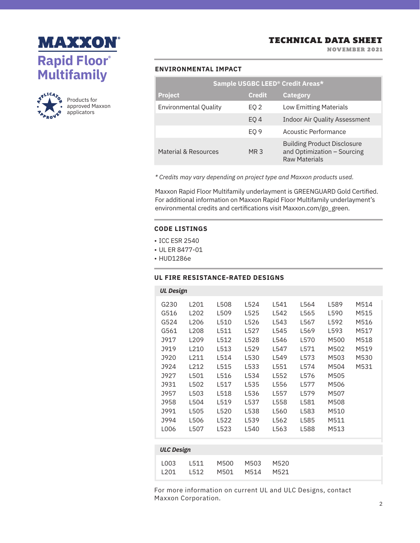



Products for approved Maxxon applicators

NOVEMBER 2021

## **ENVIRONMENTAL IMPACT**

| Sample USGBC LEED <sup>®</sup> Credit Areas* |                 |                                                                                           |  |  |  |
|----------------------------------------------|-----------------|-------------------------------------------------------------------------------------------|--|--|--|
| <b>Project</b>                               | <b>Credit</b>   | <b>Category</b>                                                                           |  |  |  |
| <b>Environmental Quality</b>                 | EQ 2            | <b>Low Emitting Materials</b>                                                             |  |  |  |
|                                              | EO <sub>4</sub> | <b>Indoor Air Quality Assessment</b>                                                      |  |  |  |
|                                              | EO <sub>9</sub> | Acoustic Performance                                                                      |  |  |  |
| Material & Resources                         | MR 3            | <b>Building Product Disclosure</b><br>and Optimization - Sourcing<br><b>Raw Materials</b> |  |  |  |

*\* Credits may vary depending on project type and Maxxon products used.*

Maxxon Rapid Floor Multifamily underlayment is GREENGUARD Gold Certified. For additional information on Maxxon Rapid Floor Multifamily underlayment's environmental credits and certifications visit Maxxon.com/go\_green.

#### **CODE LISTINGS**

- ICC ESR 2540
- UL ER 8477-01
- HUD1286e

## **UL FIRE RESISTANCE-RATED DESIGNS**

| <b>UL Design</b>  |                  |      |      |      |      |      |      |  |
|-------------------|------------------|------|------|------|------|------|------|--|
|                   |                  |      |      |      |      |      |      |  |
| G230              | L <sub>201</sub> | L508 | L524 | L541 | L564 | L589 | M514 |  |
| G516              | L <sub>202</sub> | L509 | L525 | L542 | L565 | L590 | M515 |  |
| G524              | L206             | L510 | L526 | L543 | L567 | L592 | M516 |  |
| G561              | L <sub>208</sub> | L511 | L527 | L545 | L569 | L593 | M517 |  |
| J917              | L <sub>209</sub> | L512 | L528 | L546 | L570 | M500 | M518 |  |
| J919              | L210             | L513 | L529 | L547 | L571 | M502 | M519 |  |
| J920              | L211             | L514 | L530 | L549 | L573 | M503 | M530 |  |
| J924              | L212             | L515 | L533 | L551 | L574 | M504 | M531 |  |
| J927              | L501             | L516 | L534 | L552 | L576 | M505 |      |  |
| J931              | L502             | L517 | L535 | L556 | L577 | M506 |      |  |
| J957              | L503             | L518 | L536 | L557 | L579 | M507 |      |  |
| J958              | L504             | L519 | L537 | L558 | L581 | M508 |      |  |
| J991              | L505             | L520 | L538 | L560 | L583 | M510 |      |  |
| J994              | L506             | L522 | L539 | L562 | L585 | M511 |      |  |
| L006              | L507             | L523 | L540 | L563 | L588 | M513 |      |  |
|                   |                  |      |      |      |      |      |      |  |
| <b>ULC Design</b> |                  |      |      |      |      |      |      |  |
|                   |                  |      |      |      |      |      |      |  |

|  | LOO3 L511 M500 M503 M520 |  |  |
|--|--------------------------|--|--|
|  | 1201 1512 M501 M514 M521 |  |  |

For more information on current UL and ULC Designs, contact Maxxon Corporation.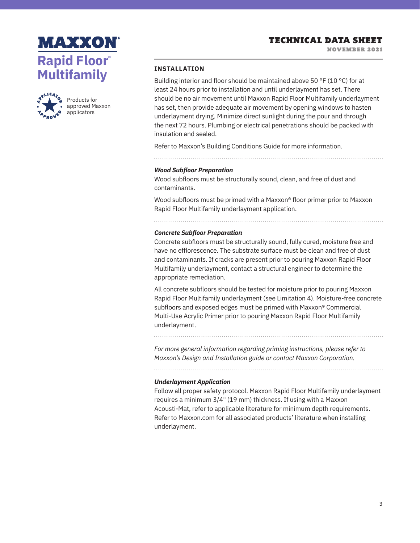NOVEMBER 2021





Products for approved Maxxon applicators

### **INSTALLATION**

Building interior and floor should be maintained above 50 °F (10 °C) for at least 24 hours prior to installation and until underlayment has set. There should be no air movement until Maxxon Rapid Floor Multifamily underlayment has set, then provide adequate air movement by opening windows to hasten underlayment drying. Minimize direct sunlight during the pour and through the next 72 hours. Plumbing or electrical penetrations should be packed with insulation and sealed.

Refer to Maxxon's Building Conditions Guide for more information.

#### *Wood Subfloor Preparation*

Wood subfloors must be structurally sound, clean, and free of dust and contaminants.

Wood subfloors must be primed with a Maxxon® floor primer prior to Maxxon Rapid Floor Multifamily underlayment application.

# *Concrete Subfloor Preparation*

Concrete subfloors must be structurally sound, fully cured, moisture free and have no efflorescence. The substrate surface must be clean and free of dust and contaminants. If cracks are present prior to pouring Maxxon Rapid Floor Multifamily underlayment, contact a structural engineer to determine the appropriate remediation.

All concrete subfloors should be tested for moisture prior to pouring Maxxon Rapid Floor Multifamily underlayment (see Limitation 4). Moisture-free concrete subfloors and exposed edges must be primed with Maxxon® Commercial Multi-Use Acrylic Primer prior to pouring Maxxon Rapid Floor Multifamily underlayment.

*For more general information regarding priming instructions, please refer to Maxxon's Design and Installation guide or contact Maxxon Corporation.*

#### *Underlayment Application*

Follow all proper safety protocol. Maxxon Rapid Floor Multifamily underlayment requires a minimum 3/4" (19 mm) thickness. If using with a Maxxon Acousti-Mat, refer to applicable literature for minimum depth requirements. Refer to Maxxon.com for all associated products' literature when installing underlayment.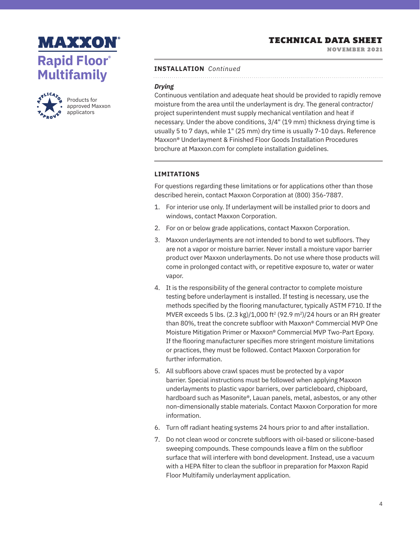NOVEMBER 2021





Products for approved Maxxon applicators

#### **INSTALLATION** *Continued*

## *Drying*

Continuous ventilation and adequate heat should be provided to rapidly remove moisture from the area until the underlayment is dry. The general contractor/ project superintendent must supply mechanical ventilation and heat if necessary. Under the above conditions, 3/4" (19 mm) thickness drying time is usually 5 to 7 days, while 1" (25 mm) dry time is usually 7-10 days. Reference Maxxon® Underlayment & Finished Floor Goods Installation Procedures brochure at Maxxon.com for complete installation guidelines.

### **LIMITATIONS**

For questions regarding these limitations or for applications other than those described herein, contact Maxxon Corporation at (800) 356-7887.

- 1. For interior use only. If underlayment will be installed prior to doors and windows, contact Maxxon Corporation.
- 2. For on or below grade applications, contact Maxxon Corporation.
- 3. Maxxon underlayments are not intended to bond to wet subfloors. They are not a vapor or moisture barrier. Never install a moisture vapor barrier product over Maxxon underlayments. Do not use where those products will come in prolonged contact with, or repetitive exposure to, water or water vapor.
- 4. It is the responsibility of the general contractor to complete moisture testing before underlayment is installed. If testing is necessary, use the methods specified by the flooring manufacturer, typically ASTM F710. If the MVER exceeds 5 lbs.  $(2.3 \text{ kg})/1,000 \text{ ft}^2 (92.9 \text{ m}^2)/24$  hours or an RH greater than 80%, treat the concrete subfloor with Maxxon® Commercial MVP One Moisture Mitigation Primer or Maxxon® Commercial MVP Two-Part Epoxy. If the flooring manufacturer specifies more stringent moisture limitations or practices, they must be followed. Contact Maxxon Corporation for further information.
- 5. All subfloors above crawl spaces must be protected by a vapor barrier. Special instructions must be followed when applying Maxxon underlayments to plastic vapor barriers, over particleboard, chipboard, hardboard such as Masonite®, Lauan panels, metal, asbestos, or any other non-dimensionally stable materials. Contact Maxxon Corporation for more information.
- 6. Turn off radiant heating systems 24 hours prior to and after installation.
- 7. Do not clean wood or concrete subfloors with oil-based or silicone-based sweeping compounds. These compounds leave a film on the subfloor surface that will interfere with bond development. Instead, use a vacuum with a HEPA filter to clean the subfloor in preparation for Maxxon Rapid Floor Multifamily underlayment application.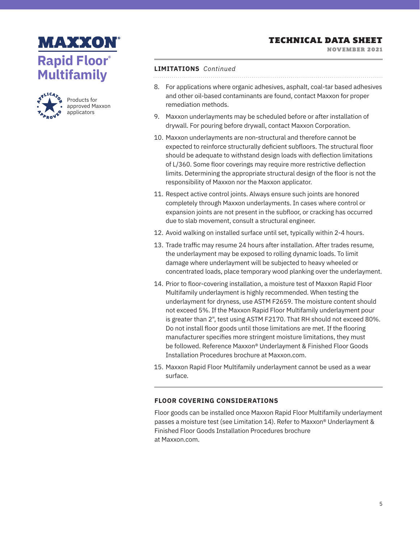NOVEMBER 2021





Products for approved Maxxon applicators

### **LIMITATIONS** *Continued*

- 8. For applications where organic adhesives, asphalt, coal-tar based adhesives and other oil-based contaminants are found, contact Maxxon for proper remediation methods.
- 9. Maxxon underlayments may be scheduled before or after installation of drywall. For pouring before drywall, contact Maxxon Corporation.
- 10. Maxxon underlayments are non-structural and therefore cannot be expected to reinforce structurally deficient subfloors. The structural floor should be adequate to withstand design loads with deflection limitations of L/360. Some floor coverings may require more restrictive deflection limits. Determining the appropriate structural design of the floor is not the responsibility of Maxxon nor the Maxxon applicator.
- 11. Respect active control joints. Always ensure such joints are honored completely through Maxxon underlayments. In cases where control or expansion joints are not present in the subfloor, or cracking has occurred due to slab movement, consult a structural engineer.
- 12. Avoid walking on installed surface until set, typically within 2-4 hours.
- 13. Trade traffic may resume 24 hours after installation. After trades resume, the underlayment may be exposed to rolling dynamic loads. To limit damage where underlayment will be subjected to heavy wheeled or concentrated loads, place temporary wood planking over the underlayment.
- 14. Prior to floor-covering installation, a moisture test of Maxxon Rapid Floor Multifamily underlayment is highly recommended. When testing the underlayment for dryness, use ASTM F2659. The moisture content should not exceed 5%. If the Maxxon Rapid Floor Multifamily underlayment pour is greater than 2", test using ASTM F2170. That RH should not exceed 80%. Do not install floor goods until those limitations are met. If the flooring manufacturer specifies more stringent moisture limitations, they must be followed. Reference Maxxon® Underlayment & Finished Floor Goods Installation Procedures brochure at Maxxon.com.
- 15. Maxxon Rapid Floor Multifamily underlayment cannot be used as a wear surface.

## **FLOOR COVERING CONSIDERATIONS**

Floor goods can be installed once Maxxon Rapid Floor Multifamily underlayment passes a moisture test (see Limitation 14). Refer to Maxxon® Underlayment & Finished Floor Goods Installation Procedures brochure at Maxxon.com.